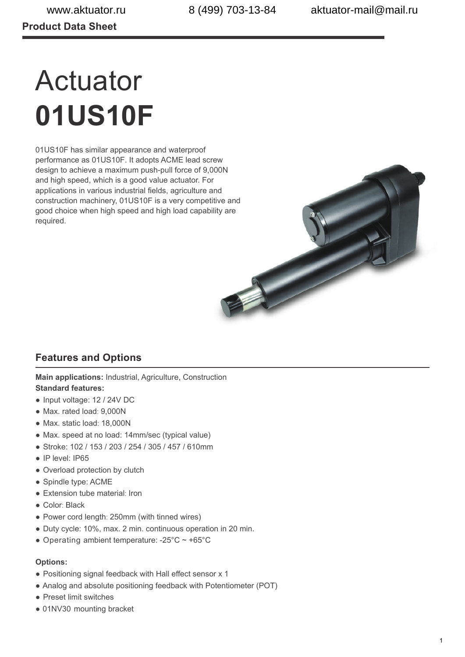# Actuator **01US10F**

01US10F has similar appearance and waterproof performance as 01US10F. It adopts ACME lead screw design to achieve a maximum push-pull force of 9,000N and high speed, which is a good value actuator. For applications in various industrial fields, agriculture and construction machinery, 01US10F is a very competitive and good choice when high speed and high load capability are required.



# **Features and Options**

**Main applications:** Industrial, Agriculture, Construction **Standard features:**

- Input voltage: 12 / 24V DC
- Max. rated load: 9,000N
- Max. static load: 18,000N
- Max. speed at no load: 14mm/sec (typical value)
- Stroke: 102 / 153 / 203 / 254 / 305 / 457 / 610mm
- IP level: IP65
- Overload protection by clutch
- Spindle type: ACME
- Extension tube material: Iron
- Color: Black
- Power cord length: 250mm (with tinned wires)
- Duty cycle: 10%, max. 2 min. continuous operation in 20 min.
- Operating ambient temperature:  $-25^{\circ}$ C ~  $+65^{\circ}$ C

#### **Options:**

- Positioning signal feedback with Hall effect sensor x 1
- Analog and absolute positioning feedback with Potentiometer (POT)
- Preset limit switches
- 01NV30 mounting bracket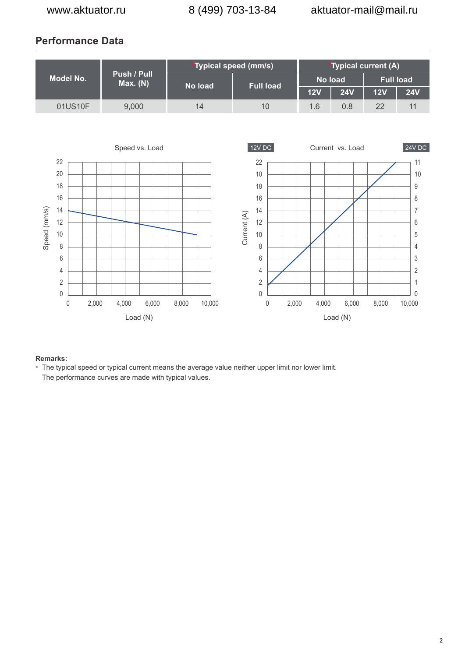# **Performance Data**



#### **Remarks:**

<sup>\*</sup> The typical speed or typical current means the average value neither upper limit nor lower limit. The performance curves are made with typical values.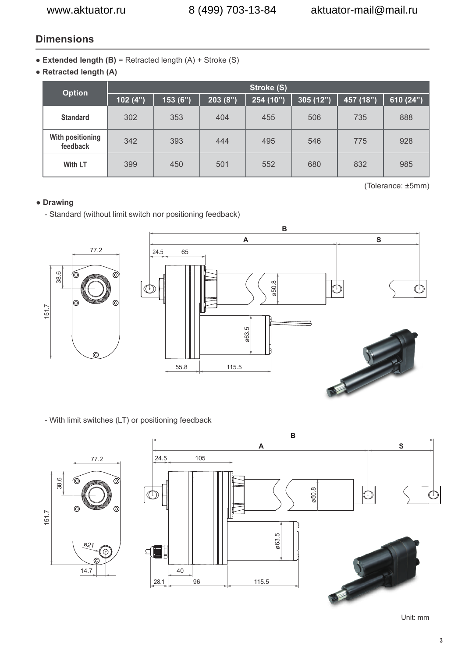## **Dimensions**

- **Extended length (B)** = Retracted length (A) + Stroke (S)
- **Retracted length (A)**

| <b>Option</b>                | Stroke (S) |         |         |           |          |           |             |  |
|------------------------------|------------|---------|---------|-----------|----------|-----------|-------------|--|
|                              | 102 $(4")$ | 153(6") | 203(8") | 254 (10") | 305(12") | 457 (18") | 610 $(24")$ |  |
| <b>Standard</b>              | 302        | 353     | 404     | 455       | 506      | 735       | 888         |  |
| With positioning<br>feedback | 342        | 393     | 444     | 495       | 546      | 775       | 928         |  |
| With LT                      | 399        | 450     | 501     | 552       | 680      | 832       | 985         |  |

(Tolerance: ±5mm)

## **● Drawing**

- Standard (without limit switch nor positioning feedback)



- With limit switches (LT) or positioning feedback



Unit: mm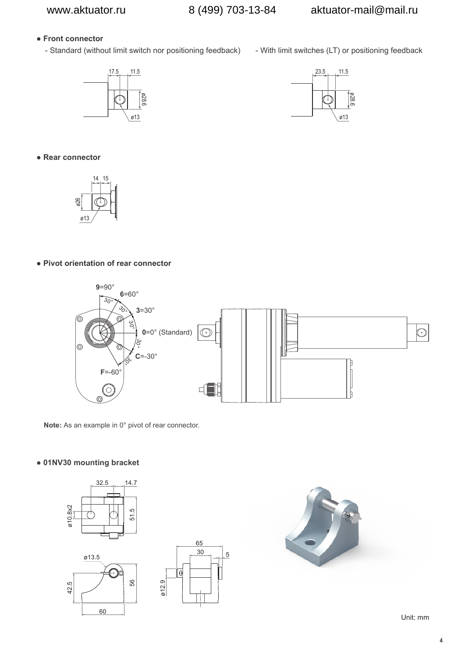## **● Front connector**

- Standard (without limit switch nor positioning feedback) - With limit switches (LT) or positioning feedback





**● Rear connector**



#### **● Pivot orientation of rear connector**



**Note:** As an example in 0° pivot of rear connector.

#### **● 01NV30 mounting bracket**







Unit: mm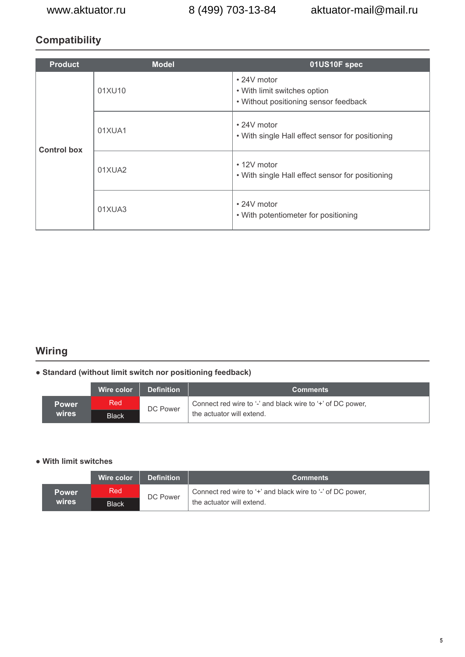# **Compatibility**

| <b>Product</b>     | <b>Model</b> | 01US10F spec                                                                         |  |  |  |  |
|--------------------|--------------|--------------------------------------------------------------------------------------|--|--|--|--|
|                    | 01XU10       | • 24V motor<br>• With limit switches option<br>• Without positioning sensor feedback |  |  |  |  |
| <b>Control box</b> | 01XUA1       | $\cdot$ 24V motor<br>• With single Hall effect sensor for positioning                |  |  |  |  |
|                    | 01XUA2       | $\cdot$ 12V motor<br>• With single Hall effect sensor for positioning                |  |  |  |  |
|                    | 01XUA3       | $\cdot$ 24V motor<br>• With potentiometer for positioning                            |  |  |  |  |

# **Wiring**

### **● Standard (without limit switch nor positioning feedback)**

|              | Wire color   | <b>Definition</b> | <b>Comments</b>                                            |
|--------------|--------------|-------------------|------------------------------------------------------------|
| <b>Power</b> | Red          | DC Power          | Connect red wire to '-' and black wire to '+' of DC power, |
| wires        | <b>Black</b> |                   | the actuator will extend.                                  |

#### **● With limit switches**

|              | Wire color   | <b>Definition</b> | <b>Comments</b>                                            |
|--------------|--------------|-------------------|------------------------------------------------------------|
| <b>Power</b> | Red          | DC Power          | Connect red wire to '+' and black wire to '-' of DC power, |
| wires        | <b>Black</b> |                   | the actuator will extend.                                  |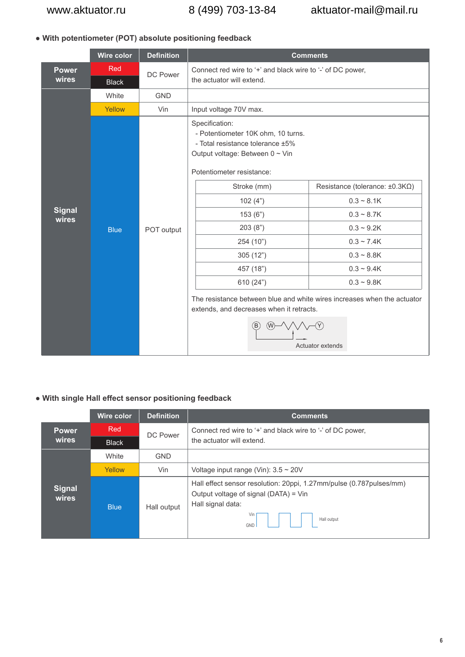## **● With potentiometer (POT) absolute positioning feedback**

|                        | Wire color                 | <b>Definition</b> | <b>Comments</b>                                                                                                                                                                                                                                                                                                                                                                                  |                                                                                                                                                                                |  |  |  |  |  |
|------------------------|----------------------------|-------------------|--------------------------------------------------------------------------------------------------------------------------------------------------------------------------------------------------------------------------------------------------------------------------------------------------------------------------------------------------------------------------------------------------|--------------------------------------------------------------------------------------------------------------------------------------------------------------------------------|--|--|--|--|--|
| <b>Power</b><br>wires  | <b>Red</b><br><b>Black</b> | DC Power          | Connect red wire to '+' and black wire to '-' of DC power,<br>the actuator will extend.                                                                                                                                                                                                                                                                                                          |                                                                                                                                                                                |  |  |  |  |  |
|                        | White                      | <b>GND</b>        |                                                                                                                                                                                                                                                                                                                                                                                                  |                                                                                                                                                                                |  |  |  |  |  |
|                        | Yellow                     | Vin               | Input voltage 70V max.                                                                                                                                                                                                                                                                                                                                                                           |                                                                                                                                                                                |  |  |  |  |  |
| <b>Signal</b><br>wires | <b>Blue</b>                | POT output        | Specification:<br>- Potentiometer 10K ohm, 10 turns.<br>- Total resistance tolerance ±5%<br>Output voltage: Between 0 ~ Vin<br>Potentiometer resistance:<br>Stroke (mm)<br>102(4")<br>153(6")<br>203(8")<br>254 (10")<br>305(12")<br>457 (18")<br>610 (24")<br>The resistance between blue and white wires increases when the actuator<br>extends, and decreases when it retracts.<br>(W)<br>(B) | Resistance (tolerance: $\pm 0.3 K\Omega$ )<br>$0.3 - 8.1K$<br>$0.3 - 8.7K$<br>$0.3 - 9.2K$<br>$0.3 - 7.4K$<br>$0.3 - 8.8K$<br>$0.3 - 9.4K$<br>$0.3 - 9.8K$<br>Actuator extends |  |  |  |  |  |

## **● With single Hall effect sensor positioning feedback**

|                        | <b>Wire color</b> | <b>Definition</b> | <b>Comments</b>                                                                                                                                                |  |  |  |  |  |
|------------------------|-------------------|-------------------|----------------------------------------------------------------------------------------------------------------------------------------------------------------|--|--|--|--|--|
| <b>Power</b>           | Red               | DC Power          | Connect red wire to '+' and black wire to '-' of DC power,                                                                                                     |  |  |  |  |  |
| wires                  | <b>Black</b>      |                   | the actuator will extend.                                                                                                                                      |  |  |  |  |  |
|                        | White             | <b>GND</b>        |                                                                                                                                                                |  |  |  |  |  |
|                        | Yellow            | Vin               | Voltage input range (Vin): $3.5 \sim 20V$                                                                                                                      |  |  |  |  |  |
| <b>Signal</b><br>wires | <b>Blue</b>       | Hall output       | Hall effect sensor resolution: 20ppi, 1.27mm/pulse (0.787pulses/mm)<br>Output voltage of signal (DATA) = Vin<br>Hall signal data:<br>Vin<br>Hall output<br>GND |  |  |  |  |  |